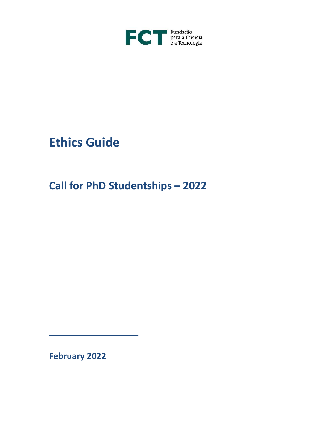

# **Ethics Guide**

**Call for PhD Studentships – 2022**

**February 2022**

\_\_\_\_\_\_\_\_\_\_\_\_\_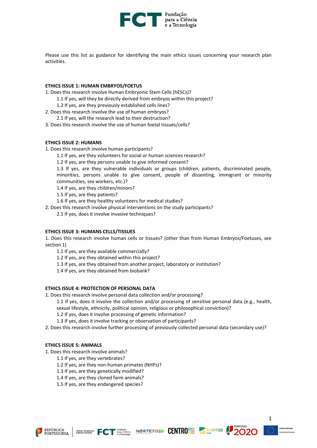

Please use this list as guidance for identifying the main ethics issues concerning your research plan activities.

#### **ETHICS ISSUE 1: HUMAN EMBRYOS/FOETUS**

1. Does this research involve Human Embryonic Stem Cells (hESCs)?

- 1.1 If yes, will they be directly derived from embryos within this project?
- 1.2 If yes, are they previously established cells lines?
- 2. Does this research involve the use of human embryos?
- 2.1 If yes, will the research lead to their destruction?
- 3. Does this research involve the use of human foetal tissues/cells?

#### **ETHICS ISSUE 2: HUMANS**

- 1. Does this research involve human participants?
	- 1.1 If yes, are they volunteers for social or human sciences research?

1.2 If yes, are they persons unable to give informed consent?

1.3 If yes, are they vulnerable individuals or groups (children, patients, discriminated people, minorities, persons unable to give consent, people of dissenting, immigrant or minority communities, sex workers, etc.)?

1.4 If yes, are they children/minors?

1.5 If yes, are they patients?

1.6 If yes, are they healthy volunteers for medical studies?

2. Does this research involve physical interventions on the study participants?

2.1 If yes, does it involve invasive techniques?

#### **ETHICS ISSUE 3: HUMANS CELLS/TISSUES**

1. Does this research involve human cells or tissues? (other than from Human Embryos/Foetuses, see section 1)

1.1 If yes, are they available commercially?

- 1.2 If yes, are they obtained within this project?
- 1.3 If yes, are they obtained from another project, laboratory or institution?

1.4 If yes, are they obtained from biobank?

# **ETHICS ISSUE 4: PROTECTION OF PERSONAL DATA**

- 1. Does this research involve personal data collection and/or processing?
	- 1.1 If yes, does it involve the collection and/or processing of sensitive personal data (e.g., health, sexual lifestyle, ethnicity, political opinion, religious or philosophical conviction)?
		- 1.2 If yes, does it involve processing of genetic information?
		- 1.3 If yes, does it involve tracking or observation of participants?
- 2. Does this research involve further processing of previously collected personal data (secondary use)?

# **ETHICS ISSUE 5: ANIMALS**

- 1. Does this research involve animals?
	- 1.1 If yes, are they vertebrates?
	- 1.2 If yes, are they non-human primates (NHPs)?
	- 1.3 If yes, are they genetically modified?
	- 1.4 If yes, are they cloned farm animals?
	- 1.5 If yes, are they endangered species?









1